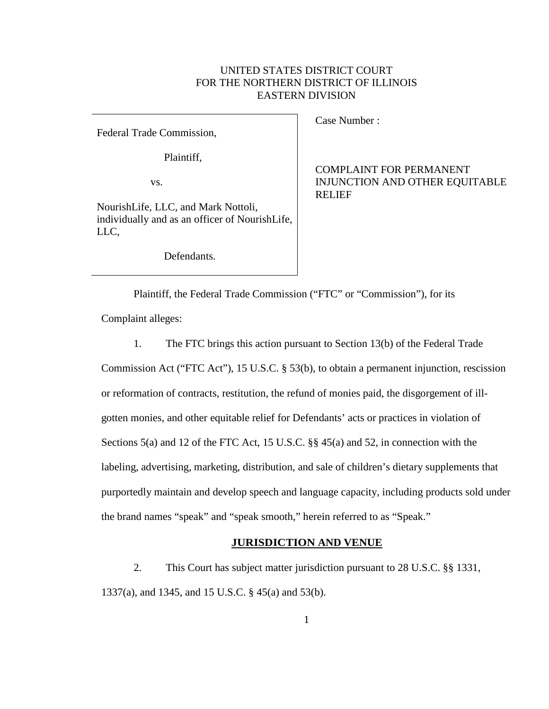# UNITED STATES DISTRICT COURT FOR THE NORTHERN DISTRICT OF ILLINOIS EASTERN DIVISION

Federal Trade Commission,

Plaintiff,

vs.

NourishLife, LLC, and Mark Nottoli, individually and as an officer of NourishLife, LLC,

Defendants.

Case Number :

COMPLAINT FOR PERMANENT INJUNCTION AND OTHER EQUITABLE RELIEF

Plaintiff, the Federal Trade Commission ("FTC" or "Commission"), for its

Complaint alleges:

1. The FTC brings this action pursuant to Section 13(b) of the Federal Trade

Commission Act ("FTC Act"), 15 U.S.C. § 53(b), to obtain a permanent injunction, rescission or reformation of contracts, restitution, the refund of monies paid, the disgorgement of illgotten monies, and other equitable relief for Defendants' acts or practices in violation of Sections 5(a) and 12 of the FTC Act, 15 U.S.C. §§ 45(a) and 52, in connection with the labeling, advertising, marketing, distribution, and sale of children's dietary supplements that purportedly maintain and develop speech and language capacity, including products sold under the brand names "speak" and "speak smooth," herein referred to as "Speak."

### **JURISDICTION AND VENUE**

2. This Court has subject matter jurisdiction pursuant to 28 U.S.C. §§ 1331, 1337(a), and 1345, and 15 U.S.C. § 45(a) and 53(b).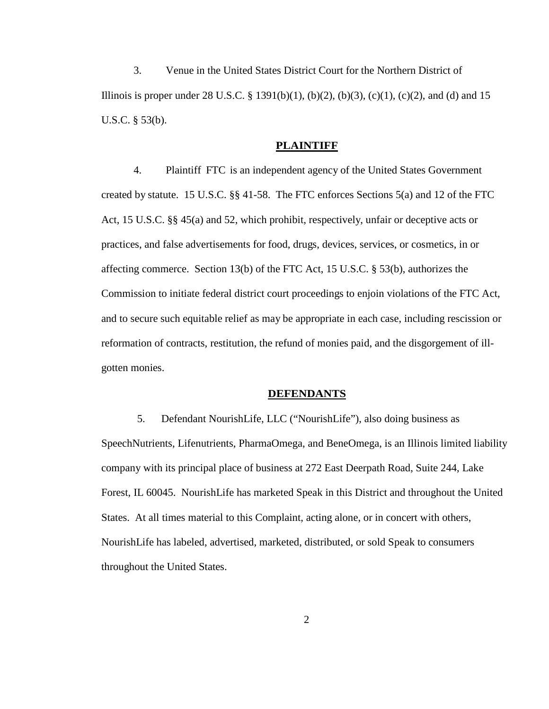3. Venue in the United States District Court for the Northern District of Illinois is proper under 28 U.S.C. § 1391(b)(1), (b)(2), (b)(3), (c)(1), (c)(2), and (d) and 15 U.S.C. § 53(b).

#### **PLAINTIFF**

4. Plaintiff FTC is an independent agency of the United States Government created by statute. 15 U.S.C. §§ 41-58. The FTC enforces Sections 5(a) and 12 of the FTC Act, 15 U.S.C. §§ 45(a) and 52, which prohibit, respectively, unfair or deceptive acts or practices, and false advertisements for food, drugs, devices, services, or cosmetics, in or affecting commerce. Section 13(b) of the FTC Act, 15 U.S.C. § 53(b), authorizes the Commission to initiate federal district court proceedings to enjoin violations of the FTC Act, and to secure such equitable relief as may be appropriate in each case, including rescission or reformation of contracts, restitution, the refund of monies paid, and the disgorgement of illgotten monies.

### **DEFENDANTS**

5. Defendant NourishLife, LLC ("NourishLife"), also doing business as SpeechNutrients, Lifenutrients, PharmaOmega, and BeneOmega, is an Illinois limited liability company with its principal place of business at 272 East Deerpath Road, Suite 244, Lake Forest, IL 60045. NourishLife has marketed Speak in this District and throughout the United States. At all times material to this Complaint, acting alone, or in concert with others, NourishLife has labeled, advertised, marketed, distributed, or sold Speak to consumers throughout the United States.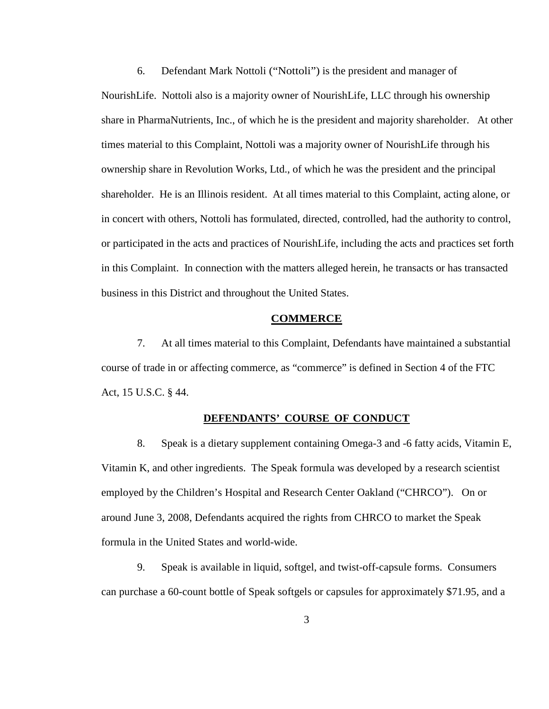6. Defendant Mark Nottoli ("Nottoli") is the president and manager of NourishLife. Nottoli also is a majority owner of NourishLife, LLC through his ownership share in PharmaNutrients, Inc., of which he is the president and majority shareholder. At other times material to this Complaint, Nottoli was a majority owner of NourishLife through his ownership share in Revolution Works, Ltd., of which he was the president and the principal shareholder. He is an Illinois resident. At all times material to this Complaint, acting alone, or in concert with others, Nottoli has formulated, directed, controlled, had the authority to control, or participated in the acts and practices of NourishLife, including the acts and practices set forth in this Complaint. In connection with the matters alleged herein, he transacts or has transacted business in this District and throughout the United States.

#### **COMMERCE**

7. At all times material to this Complaint, Defendants have maintained a substantial course of trade in or affecting commerce, as "commerce" is defined in Section 4 of the FTC Act, 15 U.S.C. § 44.

### **DEFENDANTS' COURSE OF CONDUCT**

8. Speak is a dietary supplement containing Omega-3 and -6 fatty acids, Vitamin E, Vitamin K, and other ingredients. The Speak formula was developed by a research scientist employed by the Children's Hospital and Research Center Oakland ("CHRCO"). On or around June 3, 2008, Defendants acquired the rights from CHRCO to market the Speak formula in the United States and world-wide.

9. Speak is available in liquid, softgel, and twist-off-capsule forms. Consumers can purchase a 60-count bottle of Speak softgels or capsules for approximately \$71.95, and a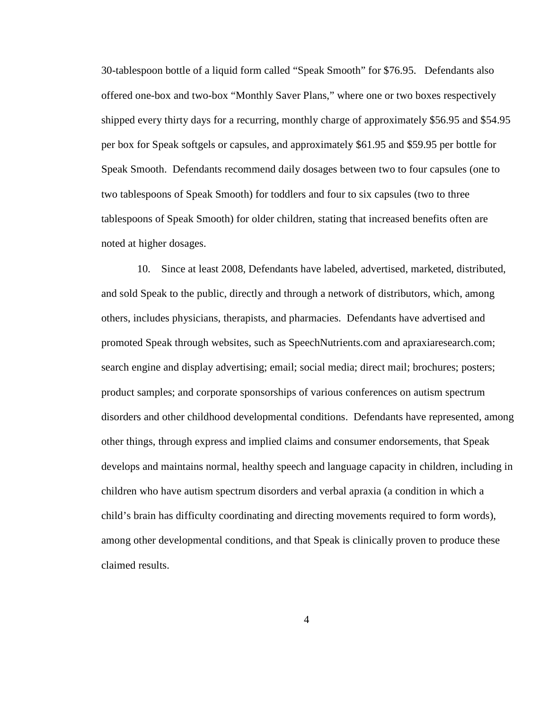30-tablespoon bottle of a liquid form called "Speak Smooth" for \$76.95. Defendants also offered one-box and two-box "Monthly Saver Plans," where one or two boxes respectively shipped every thirty days for a recurring, monthly charge of approximately \$56.95 and \$54.95 per box for Speak softgels or capsules, and approximately \$61.95 and \$59.95 per bottle for Speak Smooth. Defendants recommend daily dosages between two to four capsules (one to two tablespoons of Speak Smooth) for toddlers and four to six capsules (two to three tablespoons of Speak Smooth) for older children, stating that increased benefits often are noted at higher dosages.

10. Since at least 2008, Defendants have labeled, advertised, marketed, distributed, and sold Speak to the public, directly and through a network of distributors, which, among others, includes physicians, therapists, and pharmacies. Defendants have advertised and promoted Speak through websites, such as SpeechNutrients.com and apraxiaresearch.com; search engine and display advertising; email; social media; direct mail; brochures; posters; product samples; and corporate sponsorships of various conferences on autism spectrum disorders and other childhood developmental conditions. Defendants have represented, among other things, through express and implied claims and consumer endorsements, that Speak develops and maintains normal, healthy speech and language capacity in children, including in children who have autism spectrum disorders and verbal apraxia (a condition in which a child's brain has difficulty coordinating and directing movements required to form words), among other developmental conditions, and that Speak is clinically proven to produce these claimed results.

4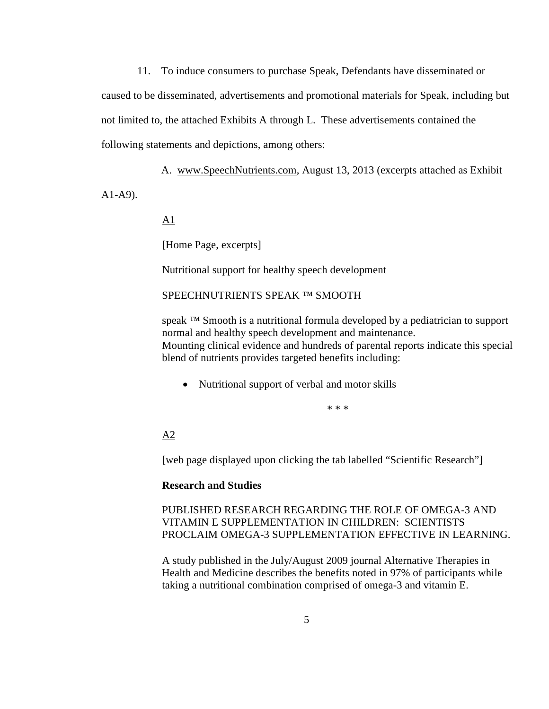11. To induce consumers to purchase Speak, Defendants have disseminated or caused to be disseminated, advertisements and promotional materials for Speak, including but not limited to, the attached Exhibits A through L. These advertisements contained the following statements and depictions, among others:

A. www.SpeechNutrients.com, August 13, 2013 (excerpts attached as Exhibit

A1-A9).

A1

[Home Page, excerpts]

Nutritional support for healthy speech development

SPEECHNUTRIENTS SPEAK ™ SMOOTH

speak <sup>™</sup> Smooth is a nutritional formula developed by a pediatrician to support normal and healthy speech development and maintenance. Mounting clinical evidence and hundreds of parental reports indicate this special blend of nutrients provides targeted benefits including:

• Nutritional support of verbal and motor skills

\* \* \*

 $A2$ 

[web page displayed upon clicking the tab labelled "Scientific Research"]

#### **Research and Studies**

PUBLISHED RESEARCH REGARDING THE ROLE OF OMEGA-3 AND VITAMIN E SUPPLEMENTATION IN CHILDREN: SCIENTISTS PROCLAIM OMEGA-3 SUPPLEMENTATION EFFECTIVE IN LEARNING.

A study published in the July/August 2009 journal Alternative Therapies in Health and Medicine describes the benefits noted in 97% of participants while taking a nutritional combination comprised of omega-3 and vitamin E.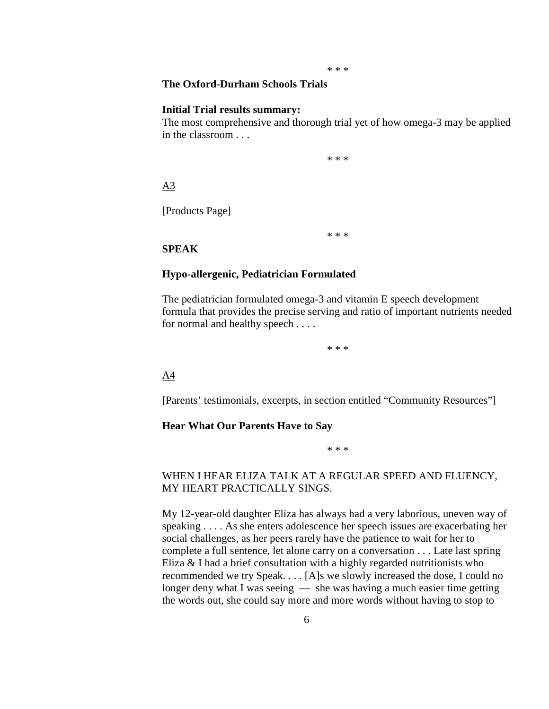#### \* \* \*

# **The Oxford-Durham Schools Trials**

#### **Initial Trial results summary:**

The most comprehensive and thorough trial yet of how omega-3 may be applied in the classroom . . .

\* \* \*

# A3

[Products Page]

\* \* \*

### **SPEAK**

#### **Hypo-allergenic, Pediatrician Formulated**

The pediatrician formulated omega-3 and vitamin E speech development formula that provides the precise serving and ratio of important nutrients needed for normal and healthy speech . . . .

\* \* \*

#### A4

[Parents' testimonials, excerpts, in section entitled "Community Resources"]

#### **Hear What Our Parents Have to Say**

\* \* \*

# WHEN I HEAR ELIZA TALK AT A REGULAR SPEED AND FLUENCY, MY HEART PRACTICALLY SINGS.

My 12-year-old daughter Eliza has always had a very laborious, uneven way of speaking . . . . As she enters adolescence her speech issues are exacerbating her social challenges, as her peers rarely have the patience to wait for her to complete a full sentence, let alone carry on a conversation . . . Late last spring Eliza & I had a brief consultation with a highly regarded nutritionists who recommended we try Speak. . . . [A]s we slowly increased the dose, I could no longer deny what I was seeing — she was having a much easier time getting the words out, she could say more and more words without having to stop to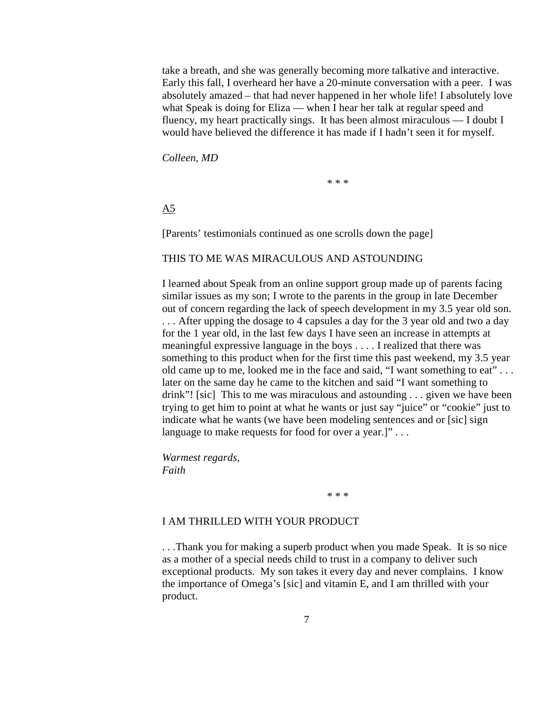take a breath, and she was generally becoming more talkative and interactive. Early this fall, I overheard her have a 20-minute conversation with a peer. I was absolutely amazed – that had never happened in her whole life! I absolutely love what Speak is doing for Eliza — when I hear her talk at regular speed and fluency, my heart practically sings. It has been almost miraculous — I doubt I would have believed the difference it has made if I hadn't seen it for myself.

*Colleen, MD*

\* \* \*

A5

[Parents' testimonials continued as one scrolls down the page]

#### THIS TO ME WAS MIRACULOUS AND ASTOUNDING

I learned about Speak from an online support group made up of parents facing similar issues as my son; I wrote to the parents in the group in late December out of concern regarding the lack of speech development in my 3.5 year old son. . . . After upping the dosage to 4 capsules a day for the 3 year old and two a day for the 1 year old, in the last few days I have seen an increase in attempts at meaningful expressive language in the boys . . . . I realized that there was something to this product when for the first time this past weekend, my 3.5 year old came up to me, looked me in the face and said, "I want something to eat" . . . later on the same day he came to the kitchen and said "I want something to drink"! [sic] This to me was miraculous and astounding . . . given we have been trying to get him to point at what he wants or just say "juice" or "cookie" just to indicate what he wants (we have been modeling sentences and or [sic] sign language to make requests for food for over a year.]" . . .

*Warmest regards, Faith*

\* \* \*

## I AM THRILLED WITH YOUR PRODUCT

. . .Thank you for making a superb product when you made Speak. It is so nice as a mother of a special needs child to trust in a company to deliver such exceptional products. My son takes it every day and never complains. I know the importance of Omega's [sic] and vitamin E, and I am thrilled with your product.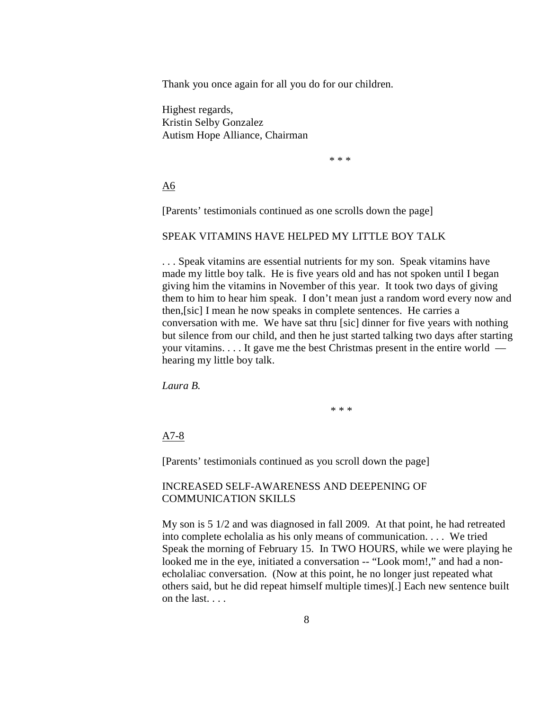Thank you once again for all you do for our children.

Highest regards, Kristin Selby Gonzalez Autism Hope Alliance, Chairman

\* \* \*

A6

[Parents' testimonials continued as one scrolls down the page]

## SPEAK VITAMINS HAVE HELPED MY LITTLE BOY TALK

. . . Speak vitamins are essential nutrients for my son. Speak vitamins have made my little boy talk. He is five years old and has not spoken until I began giving him the vitamins in November of this year. It took two days of giving them to him to hear him speak. I don't mean just a random word every now and then,[sic] I mean he now speaks in complete sentences. He carries a conversation with me. We have sat thru [sic] dinner for five years with nothing but silence from our child, and then he just started talking two days after starting your vitamins. . . . It gave me the best Christmas present in the entire world hearing my little boy talk.

*Laura B.*

\* \* \*

A7-8

[Parents' testimonials continued as you scroll down the page]

## INCREASED SELF-AWARENESS AND DEEPENING OF COMMUNICATION SKILLS

My son is 5 1/2 and was diagnosed in fall 2009. At that point, he had retreated into complete echolalia as his only means of communication. . . . We tried Speak the morning of February 15. In TWO HOURS, while we were playing he looked me in the eye, initiated a conversation -- "Look mom!," and had a nonecholaliac conversation. (Now at this point, he no longer just repeated what others said, but he did repeat himself multiple times)[.] Each new sentence built on the last. . . .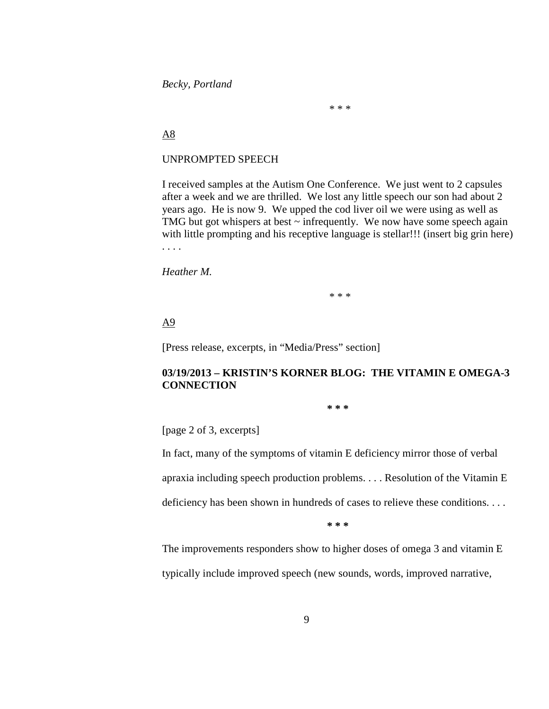*Becky, Portland*

\* \* \*

# A8

## UNPROMPTED SPEECH

I received samples at the Autism One Conference. We just went to 2 capsules after a week and we are thrilled. We lost any little speech our son had about 2 years ago. He is now 9. We upped the cod liver oil we were using as well as TMG but got whispers at best  $\sim$  infrequently. We now have some speech again with little prompting and his receptive language is stellar!!! (insert big grin here) . . . .

*Heather M.*

\* \* \*

# A9

[Press release, excerpts, in "Media/Press" section]

# **03/19/2013 – KRISTIN'S KORNER BLOG: THE VITAMIN E OMEGA-3 CONNECTION**

**\* \* \*** 

[page 2 of 3, excerpts]

In fact, many of the symptoms of vitamin E deficiency mirror those of verbal

apraxia including speech production problems. . . . Resolution of the Vitamin E

deficiency has been shown in hundreds of cases to relieve these conditions. . . .

**\* \* \*** 

The improvements responders show to higher doses of omega 3 and vitamin E typically include improved speech (new sounds, words, improved narrative,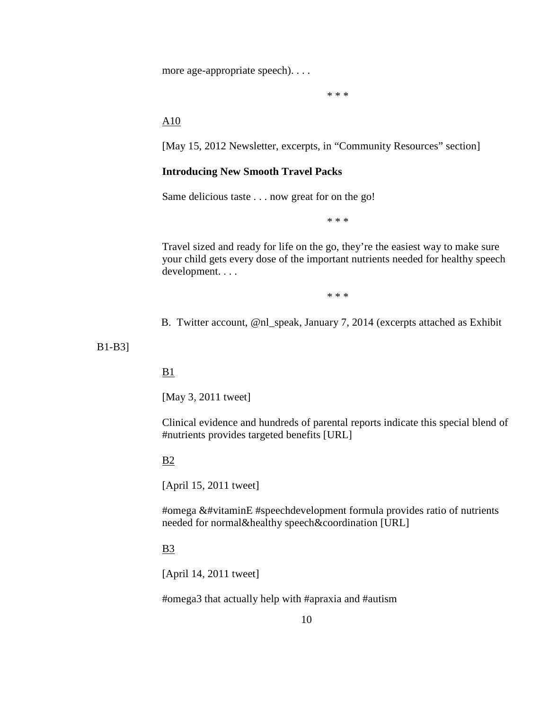more age-appropriate speech). . . .

\* \* \*

# A10

[May 15, 2012 Newsletter, excerpts, in "Community Resources" section]

### **Introducing New Smooth Travel Packs**

Same delicious taste . . . now great for on the go!

\* \* \*

Travel sized and ready for life on the go, they're the easiest way to make sure your child gets every dose of the important nutrients needed for healthy speech development. . . .

\* \* \*

B. Twitter account, @nl\_speak, January 7, 2014 (excerpts attached as Exhibit

B1-B3]

# $B1$

[May 3, 2011 tweet]

Clinical evidence and hundreds of parental reports indicate this special blend of #nutrients provides targeted benefits [URL]

#### B2

[April 15, 2011 tweet]

#omega &#vitaminE #speechdevelopment formula provides ratio of nutrients needed for normal&healthy speech&coordination [URL]

### B3

[April 14, 2011 tweet]

#omega3 that actually help with #apraxia and #autism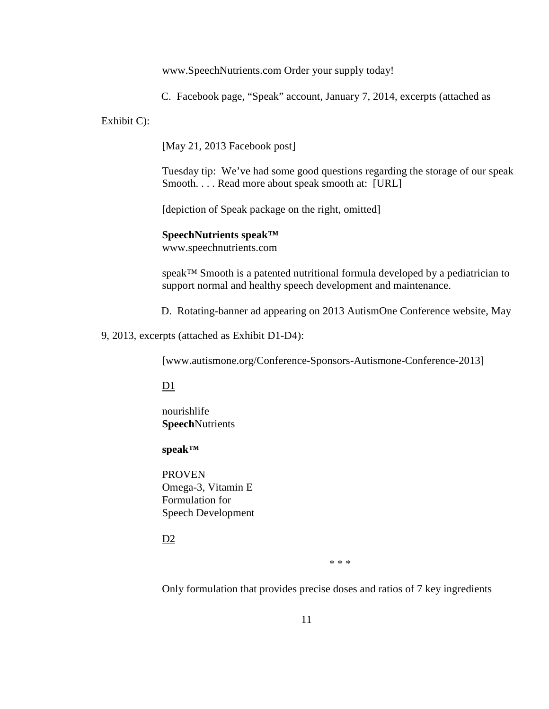www.SpeechNutrients.com Order your supply today!

C. Facebook page, "Speak" account, January 7, 2014, excerpts (attached as

Exhibit C):

[May 21, 2013 Facebook post]

Tuesday tip: We've had some good questions regarding the storage of our speak Smooth. . . . Read more about speak smooth at: [URL]

[depiction of Speak package on the right, omitted]

# **SpeechNutrients speak™**

www.speechnutrients.com

speak™ Smooth is a patented nutritional formula developed by a pediatrician to support normal and healthy speech development and maintenance.

D. Rotating-banner ad appearing on 2013 AutismOne Conference website, May

9, 2013, excerpts (attached as Exhibit D1-D4):

[www.autismone.org/Conference-Sponsors-Autismone-Conference-2013]

D1

nourishlife **Speech**Nutrients

## **speak™**

PROVEN Omega-3, Vitamin E Formulation for Speech Development

D<sub>2</sub>

\* \* \*

Only formulation that provides precise doses and ratios of 7 key ingredients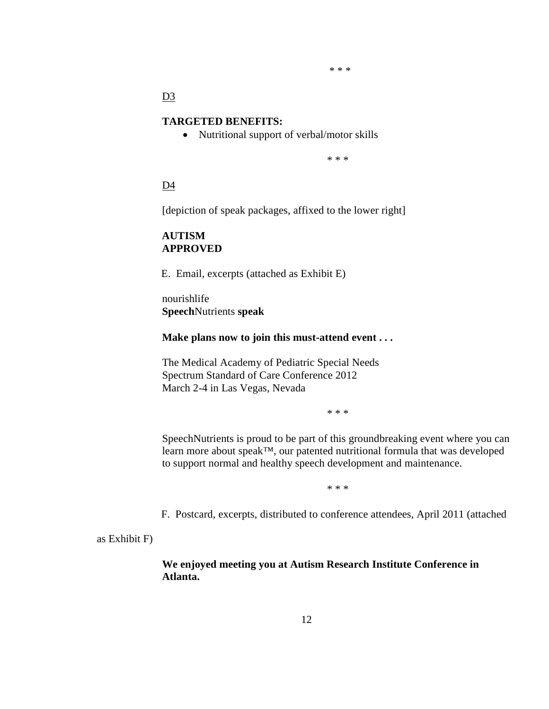\* \* \*

D<sub>3</sub>

## **TARGETED BENEFITS:**

• Nutritional support of verbal/motor skills

\* \* \*

D4

[depiction of speak packages, affixed to the lower right]

# **AUTISM APPROVED**

E. Email, excerpts (attached as Exhibit E)

nourishlife **Speech**Nutrients **speak**

**Make plans now to join this must-attend event . . .**

The Medical Academy of Pediatric Special Needs Spectrum Standard of Care Conference 2012 March 2-4 in Las Vegas, Nevada

\* \* \*

SpeechNutrients is proud to be part of this groundbreaking event where you can learn more about speak™, our patented nutritional formula that was developed to support normal and healthy speech development and maintenance.

\* \* \*

F. Postcard, excerpts, distributed to conference attendees, April 2011 (attached

as Exhibit F)

**We enjoyed meeting you at Autism Research Institute Conference in Atlanta.**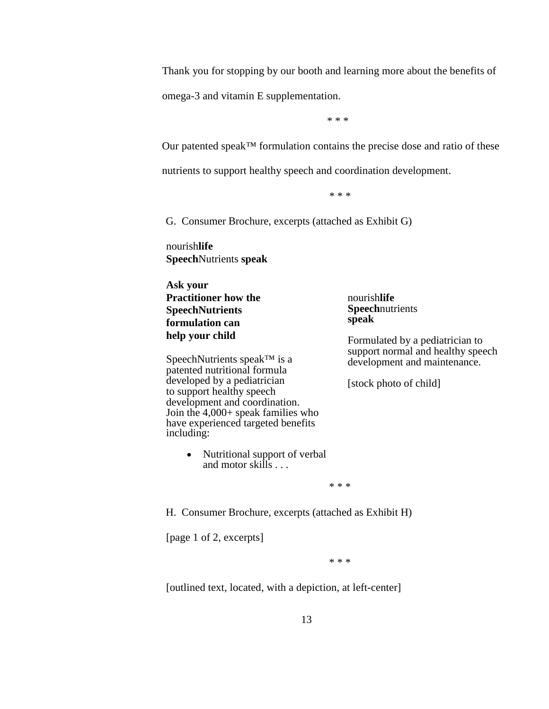Thank you for stopping by our booth and learning more about the benefits of

omega-3 and vitamin E supplementation.

\* \* \*

Our patented speak™ formulation contains the precise dose and ratio of these

nutrients to support healthy speech and coordination development.

\* \* \*

G. Consumer Brochure, excerpts (attached as Exhibit G)

nourish**life Speech**Nutrients **speak**

**Ask your Practitioner how the SpeechNutrients formulation can help your child**

SpeechNutrients speak™ is a patented nutritional formula developed by a pediatrician to support healthy speech development and coordination. Join the 4,000+ speak families who have experienced targeted benefits including:

> • Nutritional support of verbal and motor skills . . .

nourish**life Speech**nutrients **speak**

Formulated by a pediatrician to support normal and healthy speech development and maintenance.

[stock photo of child]

\* \* \*

H. Consumer Brochure, excerpts (attached as Exhibit H)

[page 1 of 2, excerpts]

\* \* \*

[outlined text, located, with a depiction, at left-center]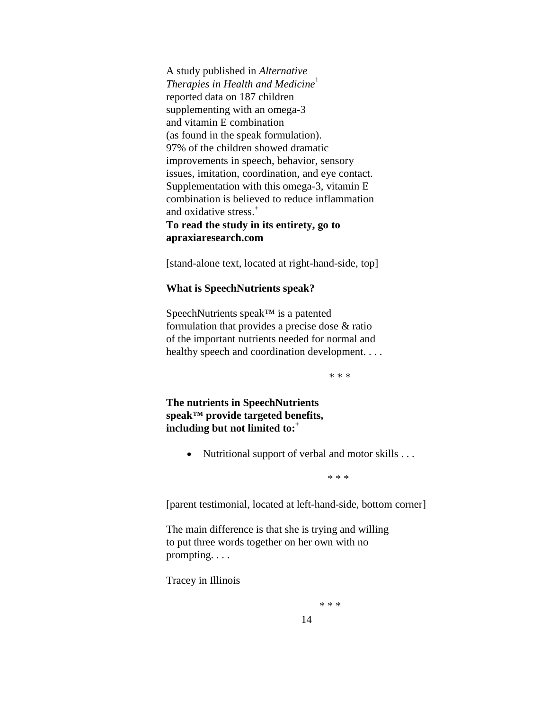A study published in *Alternative Therapies in Health and Medicine*<sup>1</sup> reported data on 187 children supplementing with an omega-3 and vitamin E combination (as found in the speak formulation). 97% of the children showed dramatic improvements in speech, behavior, sensory issues, imitation, coordination, and eye contact. Supplementation with this omega-3, vitamin E combination is believed to reduce inflammation and oxidative stress.<sup>+</sup> **To read the study in its entirety, go to apraxiaresearch.com**

[stand-alone text, located at right-hand-side, top]

#### **What is SpeechNutrients speak?**

SpeechNutrients speak™ is a patented formulation that provides a precise dose & ratio of the important nutrients needed for normal and healthy speech and coordination development. . . .

\* \* \*

**The nutrients in SpeechNutrients speak™ provide targeted benefits, including but not limited to:**<sup>+</sup>

• Nutritional support of verbal and motor skills . . .

 $* * *$ 

[parent testimonial, located at left-hand-side, bottom corner]

The main difference is that she is trying and willing to put three words together on her own with no prompting. . . .

Tracey in Illinois

 $* * *$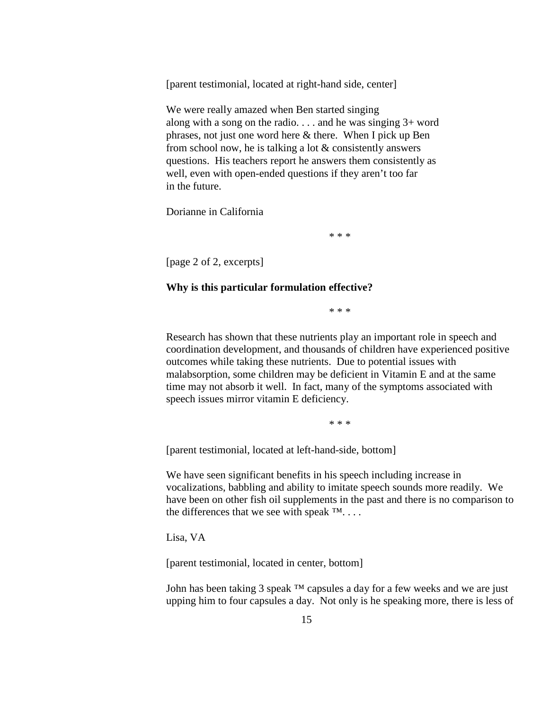[parent testimonial, located at right-hand side, center]

We were really amazed when Ben started singing along with a song on the radio. . . . and he was singing 3+ word phrases, not just one word here & there. When I pick up Ben from school now, he is talking a lot & consistently answers questions. His teachers report he answers them consistently as well, even with open-ended questions if they aren't too far in the future.

Dorianne in California

\* \* \*

[page 2 of 2, excerpts]

### **Why is this particular formulation effective?**

\* \* \*

Research has shown that these nutrients play an important role in speech and coordination development, and thousands of children have experienced positive outcomes while taking these nutrients. Due to potential issues with malabsorption, some children may be deficient in Vitamin E and at the same time may not absorb it well. In fact, many of the symptoms associated with speech issues mirror vitamin E deficiency.

\* \* \*

[parent testimonial, located at left-hand-side, bottom]

We have seen significant benefits in his speech including increase in vocalizations, babbling and ability to imitate speech sounds more readily. We have been on other fish oil supplements in the past and there is no comparison to the differences that we see with speak  $\mathbb{M}$ ...

Lisa, VA

[parent testimonial, located in center, bottom]

John has been taking 3 speak  $TM$  capsules a day for a few weeks and we are just upping him to four capsules a day. Not only is he speaking more, there is less of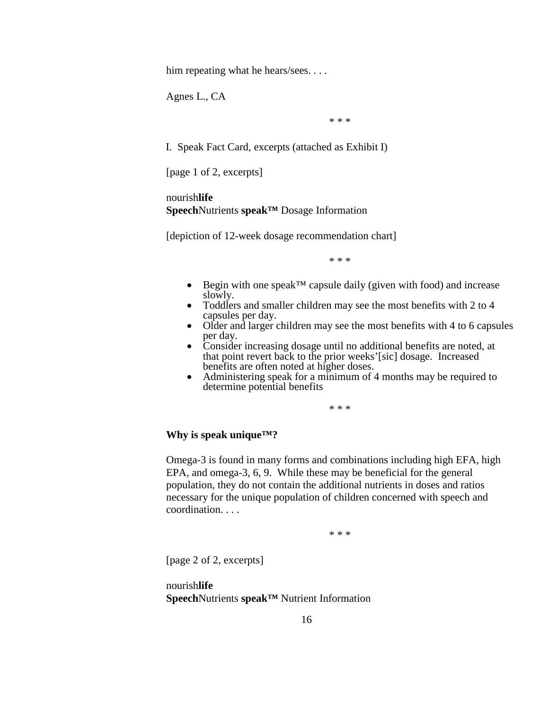him repeating what he hears/sees....

Agnes L., CA

\* \* \*

I. Speak Fact Card, excerpts (attached as Exhibit I)

[page 1 of 2, excerpts]

nourish**life Speech**Nutrients **speak™** Dosage Information

[depiction of 12-week dosage recommendation chart]

\* \* \*

- Begin with one speak<sup>TM</sup> capsule daily (given with food) and increase slowly.
- Toddlers and smaller children may see the most benefits with  $2 \text{ to } 4$  capsules per day.
- Older and larger children may see the most benefits with 4 to 6 capsules per day.
- Consider increasing dosage until no additional benefits are noted, at that point revert back to the prior weeks'[sic] dosage. Increased
- Administering speak for a minimum of 4 months may be required to determine potential benefits

\* \* \*

## **Why is speak unique™?**

Omega-3 is found in many forms and combinations including high EFA, high EPA, and omega-3, 6, 9. While these may be beneficial for the general population, they do not contain the additional nutrients in doses and ratios necessary for the unique population of children concerned with speech and coordination. . . .

\* \* \*

[page 2 of 2, excerpts]

nourish**life Speech**Nutrients **speak™** Nutrient Information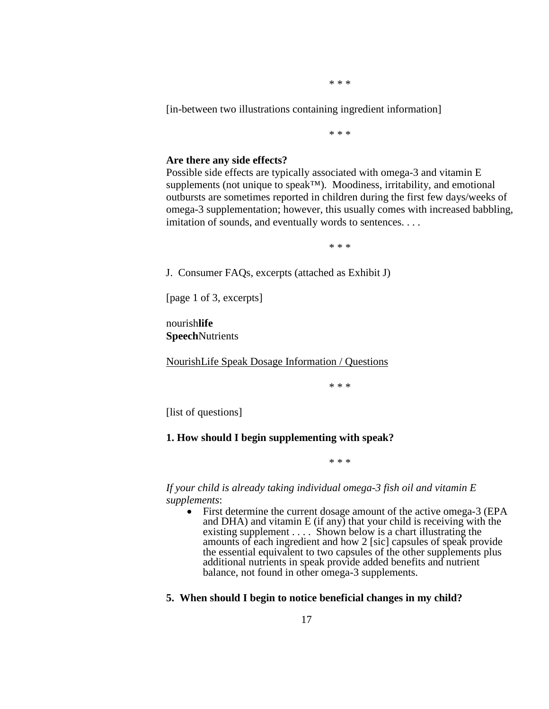\* \* \*

[in-between two illustrations containing ingredient information]

\* \* \*

#### **Are there any side effects?**

Possible side effects are typically associated with omega-3 and vitamin E supplements (not unique to speak™). Moodiness, irritability, and emotional outbursts are sometimes reported in children during the first few days/weeks of omega-3 supplementation; however, this usually comes with increased babbling, imitation of sounds, and eventually words to sentences. . . .

\* \* \*

J. Consumer FAQs, excerpts (attached as Exhibit J)

[page 1 of 3, excerpts]

nourish**life Speech**Nutrients

NourishLife Speak Dosage Information / Questions

\* \* \*

[list of questions]

### **1. How should I begin supplementing with speak?**

\* \* \*

*If your child is already taking individual omega-3 fish oil and vitamin E supplements*:

• First determine the current dosage amount of the active omega-3 (EPA and DHA) and vitamin E (if any) that your child is receiving with the existing supplement . . . . Shown below is a chart illustrating the amounts of each ingredient and how 2 [sic] capsules of speak provide the essential equivalent to two capsules of the other supplements plus additional nutrients in speak provide added benefits and nutrient balance, not found in other omega-3 supplements.

### **5. When should I begin to notice beneficial changes in my child?**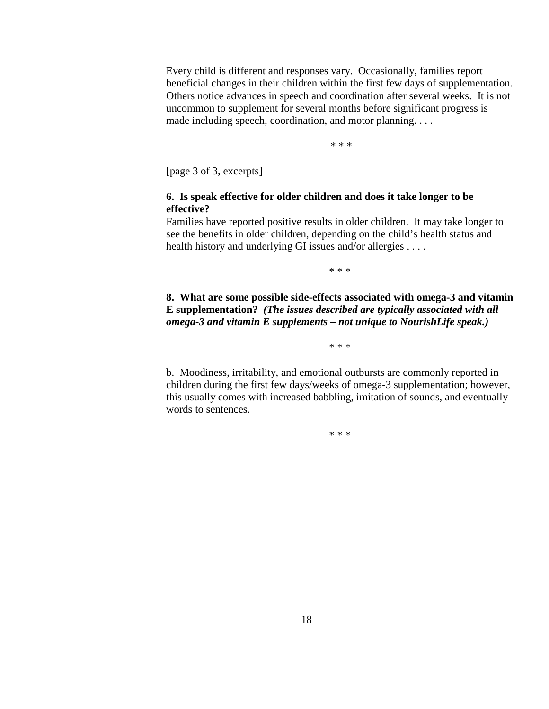Every child is different and responses vary. Occasionally, families report beneficial changes in their children within the first few days of supplementation. Others notice advances in speech and coordination after several weeks. It is not uncommon to supplement for several months before significant progress is made including speech, coordination, and motor planning. . . .

\* \* \*

[page 3 of 3, excerpts]

## **6. Is speak effective for older children and does it take longer to be effective?**

Families have reported positive results in older children. It may take longer to see the benefits in older children, depending on the child's health status and health history and underlying GI issues and/or allergies . . . .

\* \* \*

**8. What are some possible side-effects associated with omega-3 and vitamin E supplementation?** *(The issues described are typically associated with all omega-3 and vitamin E supplements – not unique to NourishLife speak.)* 

\* \* \*

b. Moodiness, irritability, and emotional outbursts are commonly reported in children during the first few days/weeks of omega-3 supplementation; however, this usually comes with increased babbling, imitation of sounds, and eventually words to sentences.

\* \* \*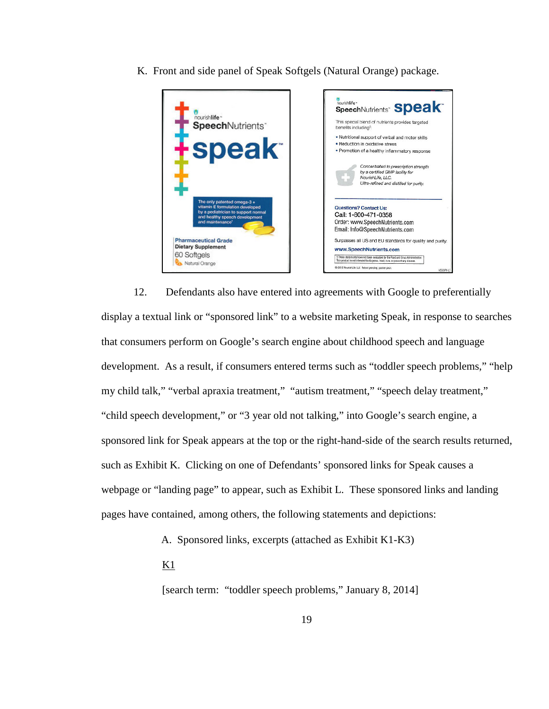K. Front and side panel of Speak Softgels (Natural Orange) package.



12. Defendants also have entered into agreements with Google to preferentially display a textual link or "sponsored link" to a website marketing Speak, in response to searches that consumers perform on Google's search engine about childhood speech and language development. As a result, if consumers entered terms such as "toddler speech problems," "help my child talk," "verbal apraxia treatment," "autism treatment," "speech delay treatment," "child speech development," or "3 year old not talking," into Google's search engine, a sponsored link for Speak appears at the top or the right-hand-side of the search results returned, such as Exhibit K. Clicking on one of Defendants' sponsored links for Speak causes a webpage or "landing page" to appear, such as Exhibit L. These sponsored links and landing pages have contained, among others, the following statements and depictions:

A. Sponsored links, excerpts (attached as Exhibit K1-K3)

 $K1$ 

[search term: "toddler speech problems," January 8, 2014]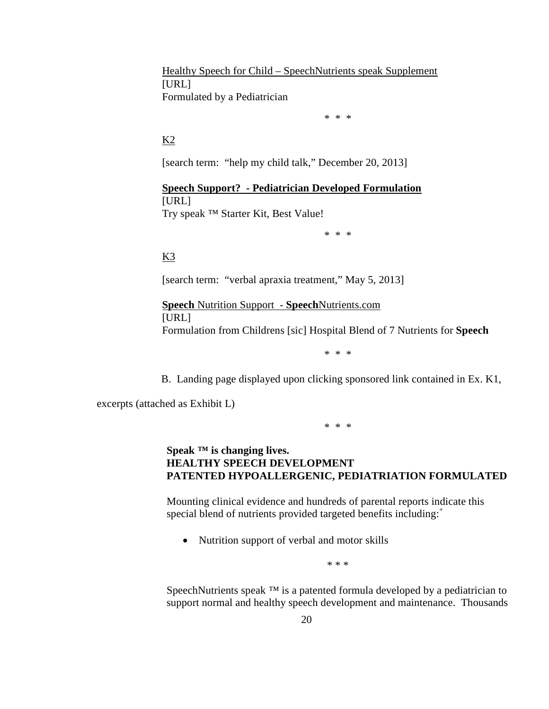Healthy Speech for Child – SpeechNutrients speak Supplement [URL] Formulated by a Pediatrician

\* \* \*

# $K<sub>2</sub>$

[search term: "help my child talk," December 20, 2013]

**Speech Support? - Pediatrician Developed Formulation** [URL] Try speak ™ Starter Kit, Best Value!

\* \* \*

K3

[search term: "verbal apraxia treatment," May 5, 2013]

**Speech** Nutrition Support - **Speech**Nutrients.com [URL] Formulation from Childrens [sic] Hospital Blend of 7 Nutrients for **Speech**

\* \* \*

B. Landing page displayed upon clicking sponsored link contained in Ex. K1,

excerpts (attached as Exhibit L)

\* \* \*

# **Speak ™ is changing lives. HEALTHY SPEECH DEVELOPMENT PATENTED HYPOALLERGENIC, PEDIATRIATION FORMULATED**

Mounting clinical evidence and hundreds of parental reports indicate this special blend of nutrients provided targeted benefits including:<sup>+</sup>

• Nutrition support of verbal and motor skills

\* \* \*

SpeechNutrients speak <sup>™</sup> is a patented formula developed by a pediatrician to support normal and healthy speech development and maintenance. Thousands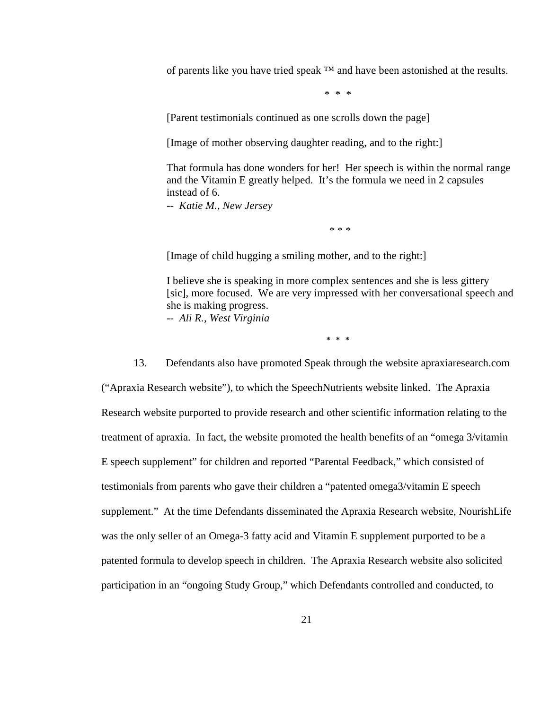of parents like you have tried speak ™ and have been astonished at the results.

\* \* \*

[Parent testimonials continued as one scrolls down the page]

[Image of mother observing daughter reading, and to the right:]

That formula has done wonders for her! Her speech is within the normal range and the Vitamin E greatly helped. It's the formula we need in 2 capsules instead of 6.

-- *Katie M., New Jersey*

\* \* \*

[Image of child hugging a smiling mother, and to the right:]

I believe she is speaking in more complex sentences and she is less gittery [sic], more focused. We are very impressed with her conversational speech and she is making progress. -- *Ali R., West Virginia* 

\* \* \*

13. Defendants also have promoted Speak through the website apraxiaresearch.com ("Apraxia Research website"), to which the SpeechNutrients website linked. The Apraxia Research website purported to provide research and other scientific information relating to the treatment of apraxia. In fact, the website promoted the health benefits of an "omega 3/vitamin E speech supplement" for children and reported "Parental Feedback," which consisted of testimonials from parents who gave their children a "patented omega3/vitamin E speech supplement." At the time Defendants disseminated the Apraxia Research website, NourishLife was the only seller of an Omega-3 fatty acid and Vitamin E supplement purported to be a patented formula to develop speech in children. The Apraxia Research website also solicited participation in an "ongoing Study Group," which Defendants controlled and conducted, to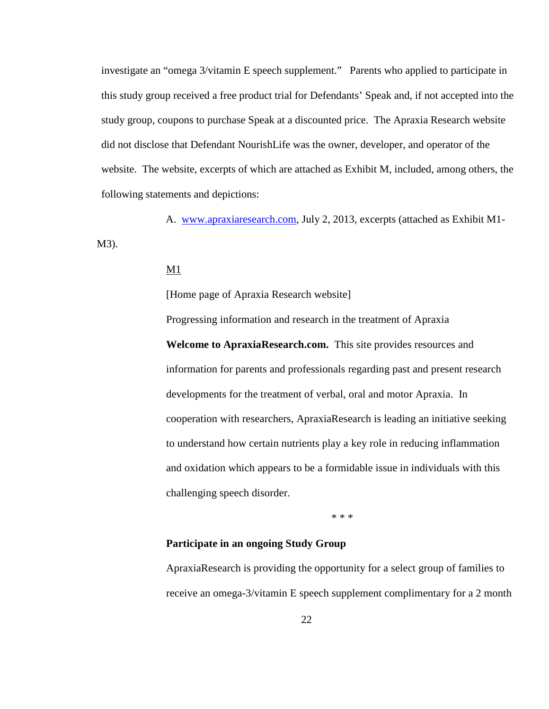investigate an "omega 3/vitamin E speech supplement." Parents who applied to participate in this study group received a free product trial for Defendants' Speak and, if not accepted into the study group, coupons to purchase Speak at a discounted price. The Apraxia Research website did not disclose that Defendant NourishLife was the owner, developer, and operator of the website. The website, excerpts of which are attached as Exhibit M, included, among others, the following statements and depictions:

A. www.apraxiaresearch.com, July 2, 2013, excerpts (attached as Exhibit M1- M3).

Progressing information and research in the treatment of Apraxia

### M1

[Home page of Apraxia Research website]

**Welcome to ApraxiaResearch.com.** This site provides resources and information for parents and professionals regarding past and present research developments for the treatment of verbal, oral and motor Apraxia. In cooperation with researchers, ApraxiaResearch is leading an initiative seeking to understand how certain nutrients play a key role in reducing inflammation and oxidation which appears to be a formidable issue in individuals with this challenging speech disorder.

\* \* \*

## **Participate in an ongoing Study Group**

ApraxiaResearch is providing the opportunity for a select group of families to receive an omega-3/vitamin E speech supplement complimentary for a 2 month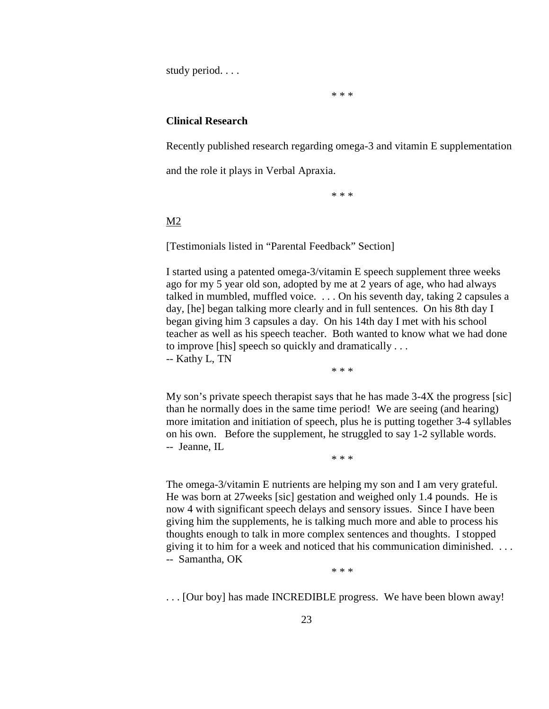study period. . . .

\* \* \*

#### **Clinical Research**

Recently published research regarding omega-3 and vitamin E supplementation

and the role it plays in Verbal Apraxia.

\* \* \*

### M2

[Testimonials listed in "Parental Feedback" Section]

I started using a patented omega-3/vitamin E speech supplement three weeks ago for my 5 year old son, adopted by me at 2 years of age, who had always talked in mumbled, muffled voice. . . . On his seventh day, taking 2 capsules a day, [he] began talking more clearly and in full sentences. On his 8th day I began giving him 3 capsules a day. On his 14th day I met with his school teacher as well as his speech teacher. Both wanted to know what we had done to improve [his] speech so quickly and dramatically . . .

-- Kathy L, TN

\* \* \*

My son's private speech therapist says that he has made 3-4X the progress [sic] than he normally does in the same time period! We are seeing (and hearing) more imitation and initiation of speech, plus he is putting together 3-4 syllables on his own. Before the supplement, he struggled to say 1-2 syllable words. -- Jeanne, IL

\* \* \*

The omega-3/vitamin E nutrients are helping my son and I am very grateful. He was born at 27weeks [sic] gestation and weighed only 1.4 pounds. He is now 4 with significant speech delays and sensory issues. Since I have been giving him the supplements, he is talking much more and able to process his thoughts enough to talk in more complex sentences and thoughts. I stopped giving it to him for a week and noticed that his communication diminished. . . . -- Samantha, OK

\* \* \*

. . . [Our boy] has made INCREDIBLE progress. We have been blown away!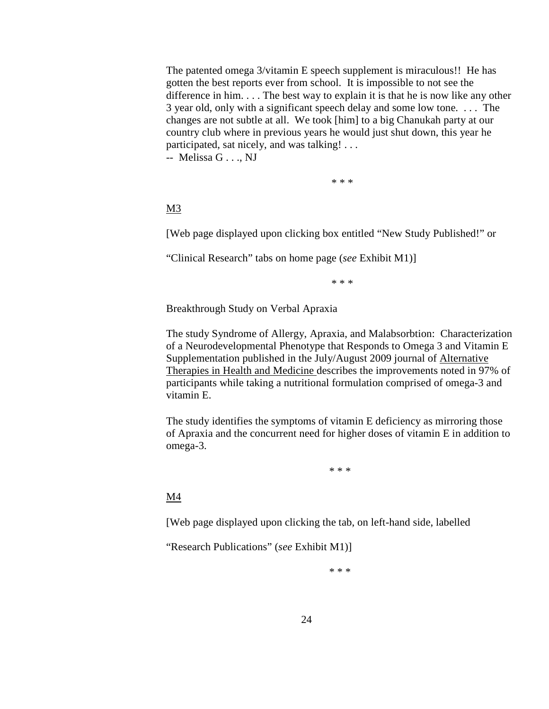The patented omega 3/vitamin E speech supplement is miraculous!! He has gotten the best reports ever from school. It is impossible to not see the difference in him. . . . The best way to explain it is that he is now like any other 3 year old, only with a significant speech delay and some low tone. . . . The changes are not subtle at all. We took [him] to a big Chanukah party at our country club where in previous years he would just shut down, this year he participated, sat nicely, and was talking! . . .

-- Melissa G . . ., NJ

\* \* \*

# M3

[Web page displayed upon clicking box entitled "New Study Published!" or

"Clinical Research" tabs on home page (*see* Exhibit M1)]

\* \* \*

Breakthrough Study on Verbal Apraxia

The study Syndrome of Allergy, Apraxia, and Malabsorbtion: Characterization of a Neurodevelopmental Phenotype that Responds to Omega 3 and Vitamin E Supplementation published in the July/August 2009 journal of Alternative Therapies in Health and Medicine describes the improvements noted in 97% of participants while taking a nutritional formulation comprised of omega-3 and vitamin E.

The study identifies the symptoms of vitamin E deficiency as mirroring those of Apraxia and the concurrent need for higher doses of vitamin E in addition to omega-3.

\* \* \*

# M4

[Web page displayed upon clicking the tab, on left-hand side, labelled

"Research Publications" (*see* Exhibit M1)]

\* \* \*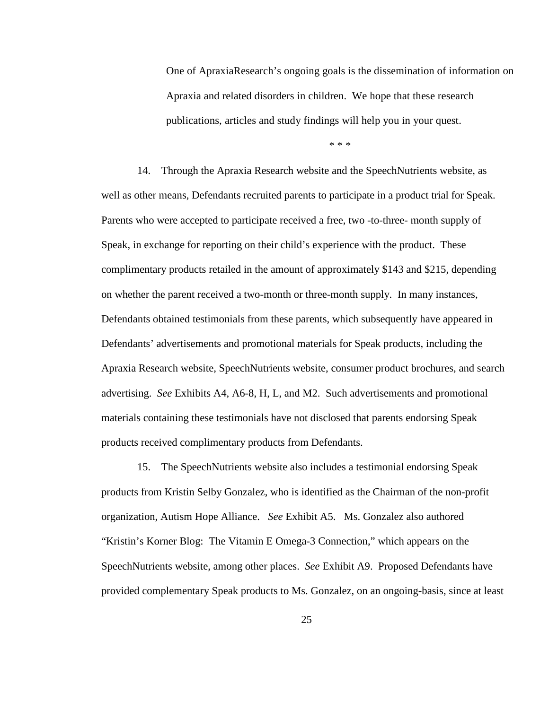One of ApraxiaResearch's ongoing goals is the dissemination of information on Apraxia and related disorders in children. We hope that these research publications, articles and study findings will help you in your quest.

\* \* \*

14. Through the Apraxia Research website and the SpeechNutrients website, as well as other means, Defendants recruited parents to participate in a product trial for Speak. Parents who were accepted to participate received a free, two -to-three- month supply of Speak, in exchange for reporting on their child's experience with the product. These complimentary products retailed in the amount of approximately \$143 and \$215, depending on whether the parent received a two-month or three-month supply. In many instances, Defendants obtained testimonials from these parents, which subsequently have appeared in Defendants' advertisements and promotional materials for Speak products, including the Apraxia Research website, SpeechNutrients website, consumer product brochures, and search advertising. *See* Exhibits A4, A6-8, H, L, and M2. Such advertisements and promotional materials containing these testimonials have not disclosed that parents endorsing Speak products received complimentary products from Defendants.

15. The SpeechNutrients website also includes a testimonial endorsing Speak products from Kristin Selby Gonzalez, who is identified as the Chairman of the non-profit organization, Autism Hope Alliance. *See* Exhibit A5. Ms. Gonzalez also authored "Kristin's Korner Blog: The Vitamin E Omega-3 Connection," which appears on the SpeechNutrients website, among other places. *See* Exhibit A9. Proposed Defendants have provided complementary Speak products to Ms. Gonzalez, on an ongoing-basis, since at least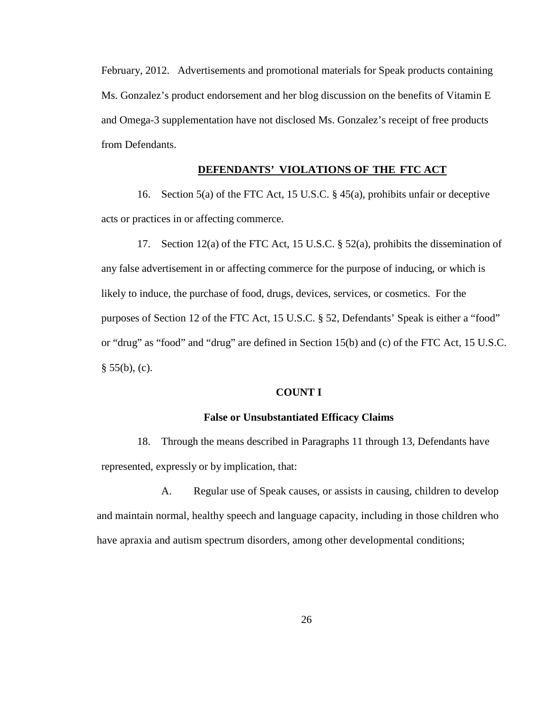February, 2012. Advertisements and promotional materials for Speak products containing Ms. Gonzalez's product endorsement and her blog discussion on the benefits of Vitamin E and Omega-3 supplementation have not disclosed Ms. Gonzalez's receipt of free products from Defendants.

# **DEFENDANTS' VIOLATIONS OF THE FTC ACT**

16. Section 5(a) of the FTC Act, 15 U.S.C. § 45(a), prohibits unfair or deceptive acts or practices in or affecting commerce.

17. Section 12(a) of the FTC Act, 15 U.S.C. § 52(a), prohibits the dissemination of any false advertisement in or affecting commerce for the purpose of inducing, or which is likely to induce, the purchase of food, drugs, devices, services, or cosmetics. For the purposes of Section 12 of the FTC Act, 15 U.S.C. § 52, Defendants' Speak is either a "food" or "drug" as "food" and "drug" are defined in Section 15(b) and (c) of the FTC Act, 15 U.S.C.  $§ 55(b), (c).$ 

#### **COUNT I**

## **False or Unsubstantiated Efficacy Claims**

18. Through the means described in Paragraphs 11 through 13, Defendants have represented, expressly or by implication, that:

A. Regular use of Speak causes, or assists in causing, children to develop and maintain normal, healthy speech and language capacity, including in those children who have apraxia and autism spectrum disorders, among other developmental conditions;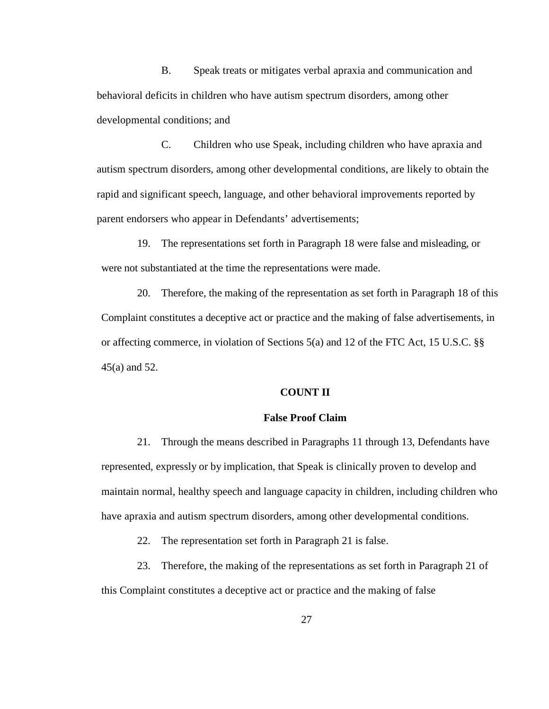B. Speak treats or mitigates verbal apraxia and communication and behavioral deficits in children who have autism spectrum disorders, among other developmental conditions; and

C. Children who use Speak, including children who have apraxia and autism spectrum disorders, among other developmental conditions, are likely to obtain the rapid and significant speech, language, and other behavioral improvements reported by parent endorsers who appear in Defendants' advertisements;

19. The representations set forth in Paragraph 18 were false and misleading, or were not substantiated at the time the representations were made.

20. Therefore, the making of the representation as set forth in Paragraph 18 of this Complaint constitutes a deceptive act or practice and the making of false advertisements, in or affecting commerce, in violation of Sections 5(a) and 12 of the FTC Act, 15 U.S.C. §§ 45(a) and 52.

## **COUNT II**

### **False Proof Claim**

21. Through the means described in Paragraphs 11 through 13, Defendants have represented, expressly or by implication, that Speak is clinically proven to develop and maintain normal, healthy speech and language capacity in children, including children who have apraxia and autism spectrum disorders, among other developmental conditions.

22. The representation set forth in Paragraph 21 is false.

23. Therefore, the making of the representations as set forth in Paragraph 21 of this Complaint constitutes a deceptive act or practice and the making of false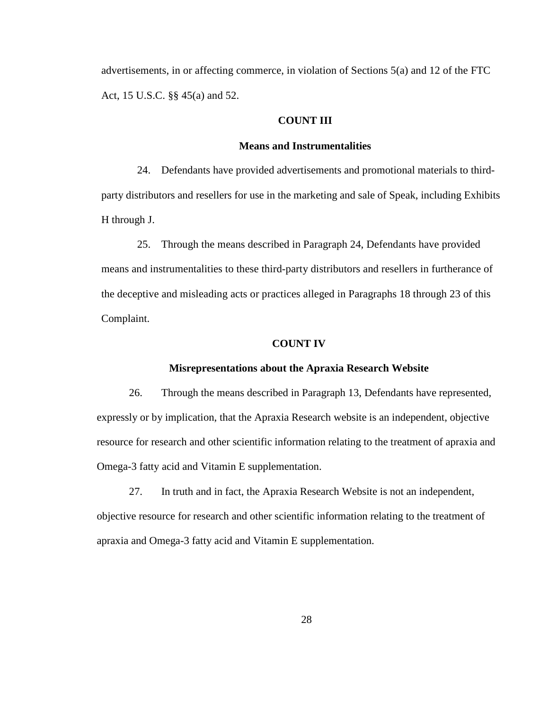advertisements, in or affecting commerce, in violation of Sections 5(a) and 12 of the FTC Act, 15 U.S.C. §§ 45(a) and 52.

### **COUNT III**

#### **Means and Instrumentalities**

24. Defendants have provided advertisements and promotional materials to thirdparty distributors and resellers for use in the marketing and sale of Speak, including Exhibits H through J.

25. Through the means described in Paragraph 24, Defendants have provided means and instrumentalities to these third-party distributors and resellers in furtherance of the deceptive and misleading acts or practices alleged in Paragraphs 18 through 23 of this Complaint.

#### **COUNT IV**

#### **Misrepresentations about the Apraxia Research Website**

26. Through the means described in Paragraph 13, Defendants have represented, expressly or by implication, that the Apraxia Research website is an independent, objective resource for research and other scientific information relating to the treatment of apraxia and Omega-3 fatty acid and Vitamin E supplementation.

27. In truth and in fact, the Apraxia Research Website is not an independent, objective resource for research and other scientific information relating to the treatment of apraxia and Omega-3 fatty acid and Vitamin E supplementation.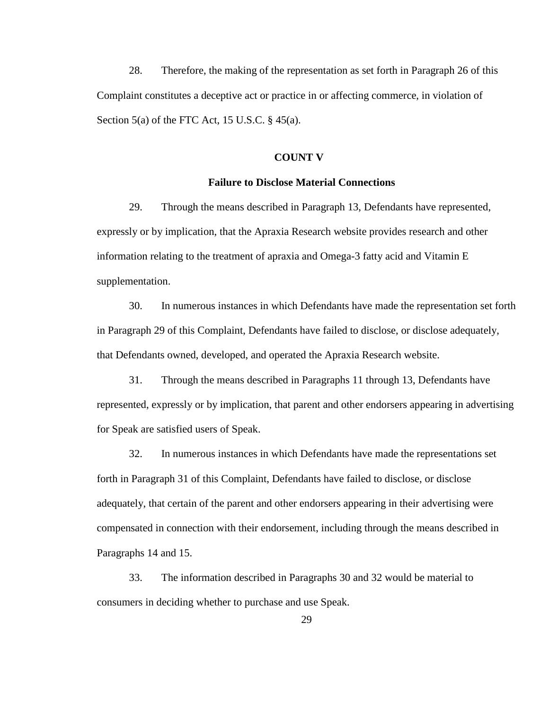28. Therefore, the making of the representation as set forth in Paragraph 26 of this Complaint constitutes a deceptive act or practice in or affecting commerce, in violation of Section 5(a) of the FTC Act, 15 U.S.C.  $\S$  45(a).

#### **COUNT V**

### **Failure to Disclose Material Connections**

29. Through the means described in Paragraph 13, Defendants have represented, expressly or by implication, that the Apraxia Research website provides research and other information relating to the treatment of apraxia and Omega-3 fatty acid and Vitamin E supplementation.

30. In numerous instances in which Defendants have made the representation set forth in Paragraph 29 of this Complaint, Defendants have failed to disclose, or disclose adequately, that Defendants owned, developed, and operated the Apraxia Research website.

31. Through the means described in Paragraphs 11 through 13, Defendants have represented, expressly or by implication, that parent and other endorsers appearing in advertising for Speak are satisfied users of Speak.

32. In numerous instances in which Defendants have made the representations set forth in Paragraph 31 of this Complaint, Defendants have failed to disclose, or disclose adequately, that certain of the parent and other endorsers appearing in their advertising were compensated in connection with their endorsement, including through the means described in Paragraphs 14 and 15.

33. The information described in Paragraphs 30 and 32 would be material to consumers in deciding whether to purchase and use Speak.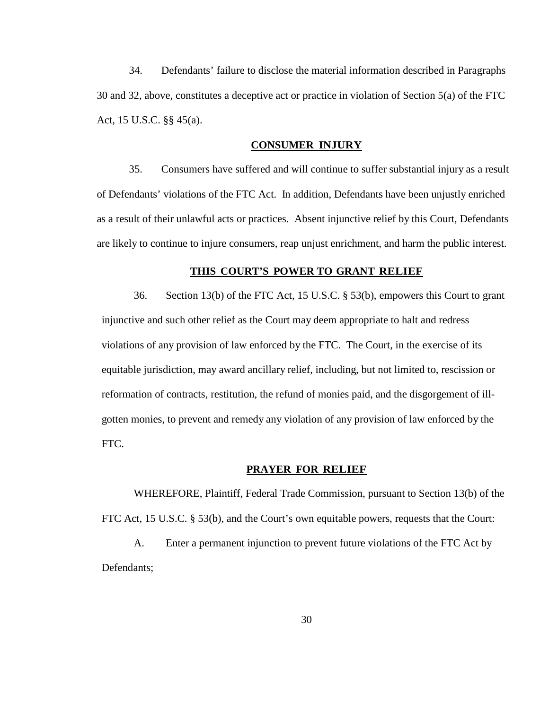34. Defendants' failure to disclose the material information described in Paragraphs 30 and 32, above, constitutes a deceptive act or practice in violation of Section 5(a) of the FTC Act, 15 U.S.C. §§ 45(a).

### **CONSUMER INJURY**

35. Consumers have suffered and will continue to suffer substantial injury as a result of Defendants' violations of the FTC Act. In addition, Defendants have been unjustly enriched as a result of their unlawful acts or practices. Absent injunctive relief by this Court, Defendants are likely to continue to injure consumers, reap unjust enrichment, and harm the public interest.

#### **THIS COURT'S POWER TO GRANT RELIEF**

36. Section 13(b) of the FTC Act, 15 U.S.C. § 53(b), empowers this Court to grant injunctive and such other relief as the Court may deem appropriate to halt and redress violations of any provision of law enforced by the FTC. The Court, in the exercise of its equitable jurisdiction, may award ancillary relief, including, but not limited to, rescission or reformation of contracts, restitution, the refund of monies paid, and the disgorgement of illgotten monies, to prevent and remedy any violation of any provision of law enforced by the FTC.

## **PRAYER FOR RELIEF**

WHEREFORE, Plaintiff, Federal Trade Commission, pursuant to Section 13(b) of the FTC Act, 15 U.S.C. § 53(b), and the Court's own equitable powers, requests that the Court:

A. Enter a permanent injunction to prevent future violations of the FTC Act by Defendants;